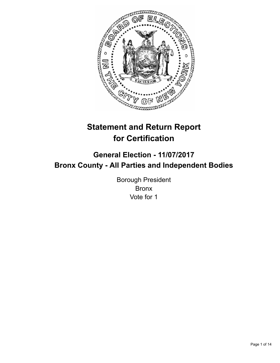

# **Statement and Return Report for Certification**

## **General Election - 11/07/2017 Bronx County - All Parties and Independent Bodies**

Borough President Bronx Vote for 1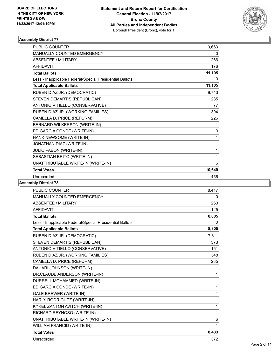

| PUBLIC COUNTER                                           | 10,663 |
|----------------------------------------------------------|--------|
| MANUALLY COUNTED EMERGENCY                               | 0      |
| <b>ABSENTEE / MILITARY</b>                               | 266    |
| <b>AFFIDAVIT</b>                                         | 176    |
| <b>Total Ballots</b>                                     | 11,105 |
| Less - Inapplicable Federal/Special Presidential Ballots | 0      |
| <b>Total Applicable Ballots</b>                          | 11,105 |
| RUBEN DIAZ JR. (DEMOCRATIC)                              | 9,743  |
| STEVEN DEMARTIS (REPUBLICAN)                             | 285    |
| ANTONIO VITIELLO (CONSERVATIVE)                          | 77     |
| RUBEN DIAZ JR. (WORKING FAMILIES)                        | 304    |
| CAMELLA D. PRICE (REFORM)                                | 226    |
| BERNARD WILKERSON (WRITE-IN)                             | 1      |
| ED GARCIA CONDE (WRITE-IN)                               | 3      |
| HANK NEWSOME (WRITE-IN)                                  | 1      |
| JONATHAN DIAZ (WRITE-IN)                                 | 1      |
| JULIO PABON (WRITE-IN)                                   | 1      |
| SEBASTIAN BRITO (WRITE-IN)                               | 1      |
| UNATTRIBUTABLE WRITE-IN (WRITE-IN)                       | 6      |
| <b>Total Votes</b>                                       | 10,649 |
| Unrecorded                                               | 456    |

| <b>PUBLIC COUNTER</b>                                    | 8,417        |
|----------------------------------------------------------|--------------|
| MANUALLY COUNTED EMERGENCY                               | 0            |
| <b>ABSENTEE / MILITARY</b>                               | 263          |
| <b>AFFIDAVIT</b>                                         | 125          |
| <b>Total Ballots</b>                                     | 8,805        |
| Less - Inapplicable Federal/Special Presidential Ballots | $\mathbf{0}$ |
| <b>Total Applicable Ballots</b>                          | 8,805        |
| RUBEN DIAZ JR. (DEMOCRATIC)                              | 7,311        |
| STEVEN DEMARTIS (REPUBLICAN)                             | 373          |
| ANTONIO VITIELLO (CONSERVATIVE)                          | 151          |
| RUBEN DIAZ JR. (WORKING FAMILIES)                        | 348          |
| CAMELLA D. PRICE (REFORM)                                | 235          |
| DAHARI JOHNSON (WRITE-IN)                                | 1            |
| DR.CLAUDE ANDERSON (WRITE-IN)                            | 1            |
| DURRELL MOHAMMED (WRITE-IN)                              | 1            |
| ED GARCIA CONDE (WRITE-IN)                               | 1            |
| <b>GALE BREWER (WRITE-IN)</b>                            | 1            |
| HARLY RODRIGUEZ (WRITE-IN)                               | 1            |
| KYREL ZANTON AVITCH (WRITE-IN)                           | 1            |
| RICHARD REYNOSO (WRITE-IN)                               | 1            |
| UNATTRIBUTABLE WRITE-IN (WRITE-IN)                       | 6            |
| WILLIAM FRANCID (WRITE-IN)                               | 1            |
| <b>Total Votes</b>                                       | 8,433        |
| Unrecorded                                               | 372          |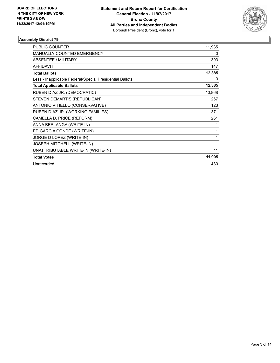

| <b>PUBLIC COUNTER</b>                                    | 11,935 |
|----------------------------------------------------------|--------|
| <b>MANUALLY COUNTED EMERGENCY</b>                        | 0      |
| ABSENTEE / MILITARY                                      | 303    |
| <b>AFFIDAVIT</b>                                         | 147    |
| <b>Total Ballots</b>                                     | 12,385 |
| Less - Inapplicable Federal/Special Presidential Ballots | 0      |
| <b>Total Applicable Ballots</b>                          | 12,385 |
| RUBEN DIAZ JR. (DEMOCRATIC)                              | 10,868 |
| STEVEN DEMARTIS (REPUBLICAN)                             | 267    |
| ANTONIO VITIELLO (CONSERVATIVE)                          | 123    |
| RUBEN DIAZ JR. (WORKING FAMILIES)                        | 371    |
| CAMELLA D. PRICE (REFORM)                                | 261    |
| ANNA BERLANGA (WRITE-IN)                                 | 1      |
| ED GARCIA CONDE (WRITE-IN)                               | 1      |
| JORGE D LOPEZ (WRITE-IN)                                 | 1      |
| JOSEPH MITCHELL (WRITE-IN)                               | 1      |
| UNATTRIBUTABLE WRITE-IN (WRITE-IN)                       | 11     |
| <b>Total Votes</b>                                       | 11,905 |
| Unrecorded                                               | 480    |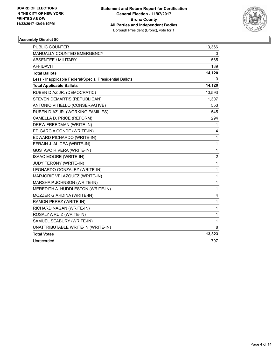

| <b>PUBLIC COUNTER</b>                                    | 13,366           |
|----------------------------------------------------------|------------------|
| MANUALLY COUNTED EMERGENCY                               | 0                |
| <b>ABSENTEE / MILITARY</b>                               | 565              |
| <b>AFFIDAVIT</b>                                         | 189              |
| <b>Total Ballots</b>                                     | 14,120           |
| Less - Inapplicable Federal/Special Presidential Ballots | 0                |
| <b>Total Applicable Ballots</b>                          | 14,120           |
| RUBEN DIAZ JR. (DEMOCRATIC)                              | 10,593           |
| STEVEN DEMARTIS (REPUBLICAN)                             | 1,307            |
| ANTONIO VITIELLO (CONSERVATIVE)                          | 553              |
| RUBEN DIAZ JR. (WORKING FAMILIES)                        | 545              |
| CAMELLA D. PRICE (REFORM)                                | 294              |
| DREW FREEDMAN (WRITE-IN)                                 | 1                |
| ED GARCIA CONDE (WRITE-IN)                               | 4                |
| EDWARD PICHARDO (WRITE-IN)                               | 1                |
| EFRAIN J. ALICEA (WRITE-IN)                              | 1                |
| <b>GUSTAVO RIVERA (WRITE-IN)</b>                         | 1                |
| <b>ISAAC MOORE (WRITE-IN)</b>                            | $\boldsymbol{2}$ |
| JUDY FERONY (WRITE-IN)                                   | 1                |
| LEONARDO GONZALEZ (WRITE-IN)                             | 1                |
| MARJORIE VELAZQUEZ (WRITE-IN)                            | 1                |
| MARSHA P JOHNSON (WRITE-IN)                              | 1                |
| MEREDITH A. HUDDLESTON (WRITE-IN)                        | 1                |
| MOZZER GIARDINA (WRITE-IN)                               | 4                |
| RAMON PEREZ (WRITE-IN)                                   | 1                |
| RICHARD NAGAN (WRITE-IN)                                 | $\mathbf{1}$     |
| ROSALY A RUIZ (WRITE-IN)                                 | 1                |
| SAMUEL SEABURY (WRITE-IN)                                | 1                |
| UNATTRIBUTABLE WRITE-IN (WRITE-IN)                       | 8                |
| <b>Total Votes</b>                                       | 13,323           |
| Unrecorded                                               | 797              |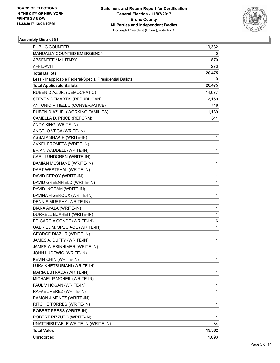

| PUBLIC COUNTER                                           | 19,332 |
|----------------------------------------------------------|--------|
| MANUALLY COUNTED EMERGENCY                               | 0      |
| <b>ABSENTEE / MILITARY</b>                               | 870    |
| AFFIDAVIT                                                | 273    |
| <b>Total Ballots</b>                                     | 20,475 |
| Less - Inapplicable Federal/Special Presidential Ballots | 0      |
| <b>Total Applicable Ballots</b>                          | 20,475 |
| RUBEN DIAZ JR. (DEMOCRATIC)                              | 14,677 |
| STEVEN DEMARTIS (REPUBLICAN)                             | 2,169  |
| ANTONIO VITIELLO (CONSERVATIVE)                          | 716    |
| RUBEN DIAZ JR. (WORKING FAMILIES)                        | 1,139  |
| CAMELLA D. PRICE (REFORM)                                | 611    |
| ANDY KING (WRITE-IN)                                     | 1      |
| ANGELO VEGA (WRITE-IN)                                   | 1      |
| <b>ASSATA SHAKIR (WRITE-IN)</b>                          | 1      |
| AXXEL FROMETA (WRITE-IN)                                 | 1      |
| BRIAN WADDELL (WRITE-IN)                                 | 1      |
| CARL LUNDGREN (WRITE-IN)                                 | 1      |
| DAMIAN MCSHANE (WRITE-IN)                                | 1      |
| DART WESTPHAL (WRITE-IN)                                 | 1      |
| DAVID DEROY (WRITE-IN)                                   | 1      |
| DAVID GREENFIELD (WRITE-IN)                              | 1      |
| DAVID INGRAM (WRITE-IN)                                  | 1      |
| DAVINA FIGEROUX (WRITE-IN)                               | 1      |
| DENNIS MURPHY (WRITE-IN)                                 | 1      |
| DIANA AYALA (WRITE-IN)                                   | 1      |
| DURRELL BUAHEIT (WRITE-IN)                               | 1      |
| ED GARCIA CONDE (WRITE-IN)                               | 6      |
| <b>GABRIEL M. SPECIACE (WRITE-IN)</b>                    | 1      |
| <b>GEORGE DIAZ JR (WRITE-IN)</b>                         | 1      |
| JAMES A. DUFFY (WRITE-IN)                                | 1      |
| JAMES WIESINHIMER (WRITE-IN)                             | 1      |
| JOHN LUDEWIG (WRITE-IN)                                  | 1      |
| <b>KEVIN CHIN (WRITE-IN)</b>                             | 1      |
| LUKA KHETSURIANI (WRITE-IN)                              | 1      |
| MARIA ESTRADA (WRITE-IN)                                 | 1      |
| MICHAEL P MCNEIL (WRITE-IN)                              | 1      |
| PAUL V HOGAN (WRITE-IN)                                  | 1      |
| RAFAEL PEREZ (WRITE-IN)                                  | 1      |
| RAMON JIMENEZ (WRITE-IN)                                 | 1      |
| RITCHIE TORRES (WRITE-IN)                                | 1      |
| ROBERT PRESS (WRITE-IN)                                  | 1      |
| ROBERT RIZZUTO (WRITE-IN)                                | 1      |
| UNATTRIBUTABLE WRITE-IN (WRITE-IN)                       | 34     |
| <b>Total Votes</b>                                       | 19,382 |
| Unrecorded                                               | 1,093  |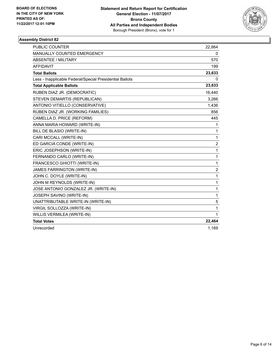

| <b>PUBLIC COUNTER</b>                                    | 22,864         |
|----------------------------------------------------------|----------------|
| <b>MANUALLY COUNTED EMERGENCY</b>                        | 0              |
| <b>ABSENTEE / MILITARY</b>                               | 570            |
| <b>AFFIDAVIT</b>                                         | 199            |
| <b>Total Ballots</b>                                     | 23,633         |
| Less - Inapplicable Federal/Special Presidential Ballots | 0              |
| <b>Total Applicable Ballots</b>                          | 23,633         |
| RUBEN DIAZ JR. (DEMOCRATIC)                              | 16,440         |
| STEVEN DEMARTIS (REPUBLICAN)                             | 3,266          |
| ANTONIO VITIELLO (CONSERVATIVE)                          | 1,436          |
| RUBEN DIAZ JR. (WORKING FAMILIES)                        | 856            |
| CAMELLA D. PRICE (REFORM)                                | 445            |
| ANNA MARIA HOWARD (WRITE-IN)                             | 1              |
| BILL DE BLASIO (WRITE-IN)                                | 1              |
| CARI MCCALL (WRITE-IN)                                   | 1              |
| ED GARCIA CONDE (WRITE-IN)                               | 2              |
| ERIC JOSEPHSON (WRITE-IN)                                | 1              |
| FERNANDO CARLO (WRITE-IN)                                | 1              |
| FRANCESCO GHIOTTI (WRITE-IN)                             | 1              |
| JAMES FARRINGTON (WRITE-IN)                              | $\overline{2}$ |
| JOHN C. DOYLE (WRITE-IN)                                 | 1              |
| JOHN M REYNOLDS (WRITE-IN)                               | 1              |
| JOSE ANTONIO GONZALEZ JR. (WRITE-IN)                     | 1              |
| JOSEPH SAVINO (WRITE-IN)                                 | 1              |
| UNATTRIBUTABLE WRITE-IN (WRITE-IN)                       | 5              |
| VIRGIL SOLLOZZA (WRITE-IN)                               | 1              |
| WILLIS VERMILEA (WRITE-IN)                               | 1              |
| <b>Total Votes</b>                                       | 22,464         |
| Unrecorded                                               | 1,169          |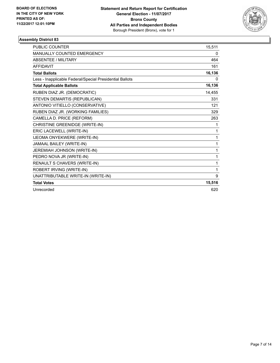

| <b>PUBLIC COUNTER</b>                                    | 15,511 |
|----------------------------------------------------------|--------|
| <b>MANUALLY COUNTED EMERGENCY</b>                        | 0      |
| <b>ABSENTEE / MILITARY</b>                               | 464    |
| <b>AFFIDAVIT</b>                                         | 161    |
| <b>Total Ballots</b>                                     | 16,136 |
| Less - Inapplicable Federal/Special Presidential Ballots | 0      |
| <b>Total Applicable Ballots</b>                          | 16,136 |
| RUBEN DIAZ JR. (DEMOCRATIC)                              | 14,455 |
| STEVEN DEMARTIS (REPUBLICAN)                             | 331    |
| ANTONIO VITIELLO (CONSERVATIVE)                          | 121    |
| RUBEN DIAZ JR. (WORKING FAMILIES)                        | 329    |
| CAMELLA D. PRICE (REFORM)                                | 263    |
| CHRISTINE GREENIDGE (WRITE-IN)                           | 1      |
| ERIC LACEWELL (WRITE-IN)                                 | 1      |
| IJEOMA ONYEKWERE (WRITE-IN)                              | 1      |
| JAMAAL BAILEY (WRITE-IN)                                 | 1      |
| JEREMIAH JOHNSON (WRITE-IN)                              | 1      |
| PEDRO NOVA JR (WRITE-IN)                                 | 1      |
| RENAULT S CHAVERS (WRITE-IN)                             | 1      |
| ROBERT IRVING (WRITE-IN)                                 | 1      |
| UNATTRIBUTABLE WRITE-IN (WRITE-IN)                       | 9      |
| <b>Total Votes</b>                                       | 15,516 |
| Unrecorded                                               | 620    |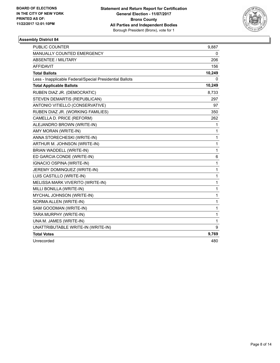

| <b>PUBLIC COUNTER</b>                                    | 9,887        |
|----------------------------------------------------------|--------------|
| MANUALLY COUNTED EMERGENCY                               | 0            |
| <b>ABSENTEE / MILITARY</b>                               | 206          |
| <b>AFFIDAVIT</b>                                         | 156          |
| <b>Total Ballots</b>                                     | 10,249       |
| Less - Inapplicable Federal/Special Presidential Ballots | 0            |
| <b>Total Applicable Ballots</b>                          | 10,249       |
| RUBEN DIAZ JR. (DEMOCRATIC)                              | 8,733        |
| STEVEN DEMARTIS (REPUBLICAN)                             | 297          |
| ANTONIO VITIELLO (CONSERVATIVE)                          | 97           |
| RUBEN DIAZ JR. (WORKING FAMILIES)                        | 350          |
| CAMELLA D. PRICE (REFORM)                                | 262          |
| ALEJANDRO BROWN (WRITE-IN)                               | 1            |
| AMY MORAN (WRITE-IN)                                     | 1            |
| ANNA STORECHESKI (WRITE-IN)                              | 1            |
| ARTHUR M. JOHNSON (WRITE-IN)                             | 1            |
| BRIAN WADDELL (WRITE-IN)                                 | $\mathbf{1}$ |
| ED GARCIA CONDE (WRITE-IN)                               | 6            |
| IGNACIO OSPINA (WRITE-IN)                                | 1            |
| JEREMY DOMINQUEZ (WRITE-IN)                              | 1            |
| LUIS CASTILLO (WRITE-IN)                                 | 1            |
| MELISSA MARK VIVERITO (WRITE-IN)                         | $\mathbf 1$  |
| MILLI BONILLA (WRITE-IN)                                 | $\mathbf{1}$ |
| MYCHAL JOHNSON (WRITE-IN)                                | 1            |
| NORMA ALLEN (WRITE-IN)                                   | 1            |
| SAM GOODMAN (WRITE-IN)                                   | $\mathbf{1}$ |
| TARA MURPHY (WRITE-IN)                                   | $\mathbf{1}$ |
| UNA M. JAMES (WRITE-IN)                                  | $\mathbf{1}$ |
| UNATTRIBUTABLE WRITE-IN (WRITE-IN)                       | 9            |
| <b>Total Votes</b>                                       | 9,769        |
| Unrecorded                                               | 480          |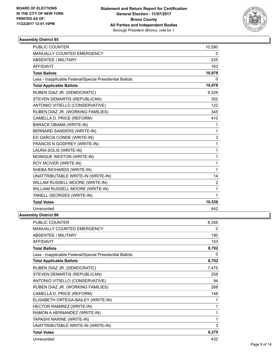

| <b>PUBLIC COUNTER</b>                                    | 10,590 |
|----------------------------------------------------------|--------|
| MANUALLY COUNTED EMERGENCY                               | 0      |
| <b>ABSENTEE / MILITARY</b>                               | 225    |
| <b>AFFIDAVIT</b>                                         | 163    |
| <b>Total Ballots</b>                                     | 10,978 |
| Less - Inapplicable Federal/Special Presidential Ballots | 0      |
| <b>Total Applicable Ballots</b>                          | 10,978 |
| RUBEN DIAZ JR. (DEMOCRATIC)                              | 9,329  |
| STEVEN DEMARTIS (REPUBLICAN)                             | 302    |
| ANTONIO VITIELLO (CONSERVATIVE)                          | 122    |
| RUBEN DIAZ JR. (WORKING FAMILIES)                        | 345    |
| CAMELLA D. PRICE (REFORM)                                | 410    |
| <b>BARACK OBAMA (WRITE-IN)</b>                           | 1      |
| BERNARD SANDERS (WRITE-IN)                               | 1      |
| ED GARCIA CONDE (WRITE-IN)                               | 3      |
| FRANCIS N GODFREY (WRITE-IN)                             | 1      |
| LAURA SOLIS (WRITE-IN)                                   | 1      |
| MONIQUE WESTON (WRITE-IN)                                | 1      |
| ROY MCIVER (WRITE-IN)                                    | 1      |
| SHEBA RICHARDS (WRITE-IN)                                | 1      |
| UNATTRIBUTABLE WRITE-IN (WRITE-IN)                       | 14     |
| WILLAM RUSSELL MOORE (WRITE-IN)                          | 2      |
| WILLIAM RUSSELL MOORE (WRITE-IN)                         | 1      |
| YANELL GEORGES (WRITE-IN)                                | 1      |
| <b>Total Votes</b>                                       | 10,536 |
| Unrecorded                                               | 442    |

| PUBLIC COUNTER                                           | 8,359 |
|----------------------------------------------------------|-------|
| MANUALLY COUNTED EMERGENCY                               | 0     |
| <b>ABSENTEE / MILITARY</b>                               | 190   |
| <b>AFFIDAVIT</b>                                         | 153   |
| <b>Total Ballots</b>                                     | 8,702 |
| Less - Inapplicable Federal/Special Presidential Ballots | 0     |
| <b>Total Applicable Ballots</b>                          | 8,702 |
| RUBEN DIAZ JR. (DEMOCRATIC)                              | 7,475 |
| STEVEN DEMARTIS (REPUBLICAN)                             | 258   |
| ANTONIO VITIELLO (CONSERVATIVE)                          | 94    |
| RUBEN DIAZ JR. (WORKING FAMILIES)                        | 288   |
| CAMELLA D. PRICE (REFORM)                                | 148   |
| ELISABETH ORTEGA-BAILEY (WRITE-IN)                       | 1     |
| HECTOR RAMIREZ (WRITE-IN)                                | 1     |
| RAMON A HERNANDEZ (WRITE-IN)                             | 1     |
| TAPASHI NARINE (WRITE-IN)                                | 1     |
| UNATTRIBUTABLE WRITE-IN (WRITE-IN)                       | 3     |
| <b>Total Votes</b>                                       | 8,270 |
| Unrecorded                                               | 432   |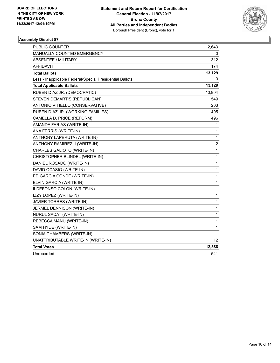

| PUBLIC COUNTER                                           | 12,643                  |
|----------------------------------------------------------|-------------------------|
| MANUALLY COUNTED EMERGENCY                               | 0                       |
| <b>ABSENTEE / MILITARY</b>                               | 312                     |
| <b>AFFIDAVIT</b>                                         | 174                     |
| <b>Total Ballots</b>                                     | 13,129                  |
| Less - Inapplicable Federal/Special Presidential Ballots | 0                       |
| <b>Total Applicable Ballots</b>                          | 13,129                  |
| RUBEN DIAZ JR. (DEMOCRATIC)                              | 10,904                  |
| STEVEN DEMARTIS (REPUBLICAN)                             | 549                     |
| ANTONIO VITIELLO (CONSERVATIVE)                          | 203                     |
| RUBEN DIAZ JR. (WORKING FAMILIES)                        | 405                     |
| CAMELLA D. PRICE (REFORM)                                | 496                     |
| AMANDA FARIAS (WRITE-IN)                                 | 1                       |
| ANA FERRIS (WRITE-IN)                                    | 1                       |
| ANTHONY LAPERUTA (WRITE-IN)                              | 1                       |
| ANTHONY RAMIREZ II (WRITE-IN)                            | $\overline{\mathbf{c}}$ |
| CHARLES GALIOTO (WRITE-IN)                               | 1                       |
| CHRISTOPHER BLINDEL (WRITE-IN)                           | 1                       |
| DANIEL ROSADO (WRITE-IN)                                 | 1                       |
| DAVID OCASIO (WRITE-IN)                                  | 1                       |
| ED GARCIA CONDE (WRITE-IN)                               | 1                       |
| ELVIN GARCIA (WRITE-IN)                                  | 1                       |
| ILDEFONSO COLON (WRITE-IN)                               | 1                       |
| IZZY LOPEZ (WRITE-IN)                                    | 1                       |
| JAVIER TORRES (WRITE-IN)                                 | 1                       |
| JERMEL DENNISON (WRITE-IN)                               | 1                       |
| NURUL SADAT (WRITE-IN)                                   | 1                       |
| REBECCA MANU (WRITE-IN)                                  | 1                       |
| SAM HYDE (WRITE-IN)                                      | 1                       |
| SONIA CHAMBERS (WRITE-IN)                                | 1                       |
| UNATTRIBUTABLE WRITE-IN (WRITE-IN)                       | 12                      |
| <b>Total Votes</b>                                       | 12,588                  |
| Unrecorded                                               | 541                     |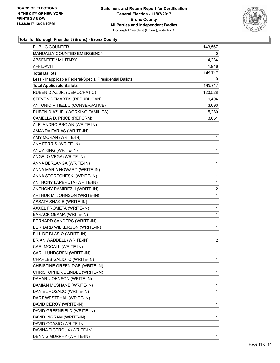

| <b>PUBLIC COUNTER</b>                                    | 143,567      |
|----------------------------------------------------------|--------------|
| MANUALLY COUNTED EMERGENCY                               | 0            |
| <b>ABSENTEE / MILITARY</b>                               | 4,234        |
| AFFIDAVIT                                                | 1,916        |
| <b>Total Ballots</b>                                     | 149,717      |
| Less - Inapplicable Federal/Special Presidential Ballots | 0            |
| <b>Total Applicable Ballots</b>                          | 149,717      |
| RUBEN DIAZ JR. (DEMOCRATIC)                              | 120,528      |
| STEVEN DEMARTIS (REPUBLICAN)                             | 9,404        |
| ANTONIO VITIELLO (CONSERVATIVE)                          | 3,693        |
| RUBEN DIAZ JR. (WORKING FAMILIES)                        | 5,280        |
| CAMELLA D. PRICE (REFORM)                                | 3,651        |
| ALEJANDRO BROWN (WRITE-IN)                               | 1            |
| AMANDA FARIAS (WRITE-IN)                                 | 1            |
| AMY MORAN (WRITE-IN)                                     | 1            |
| ANA FERRIS (WRITE-IN)                                    | 1            |
| ANDY KING (WRITE-IN)                                     | 1            |
| ANGELO VEGA (WRITE-IN)                                   | 1            |
| ANNA BERLANGA (WRITE-IN)                                 | 1            |
| ANNA MARIA HOWARD (WRITE-IN)                             | $\mathbf 1$  |
| ANNA STORECHESKI (WRITE-IN)                              | 1            |
| ANTHONY LAPERUTA (WRITE-IN)                              | 1            |
| ANTHONY RAMIREZ II (WRITE-IN)                            | 2            |
| ARTHUR M. JOHNSON (WRITE-IN)                             | 1            |
| ASSATA SHAKIR (WRITE-IN)                                 | 1            |
| AXXEL FROMETA (WRITE-IN)                                 | $\mathbf 1$  |
| <b>BARACK OBAMA (WRITE-IN)</b>                           | $\mathbf 1$  |
| BERNARD SANDERS (WRITE-IN)                               | 1            |
| BERNARD WILKERSON (WRITE-IN)                             | 1            |
| BILL DE BLASIO (WRITE-IN)                                | 1            |
| BRIAN WADDELL (WRITE-IN)                                 | 2            |
| CARI MCCALL (WRITE-IN)                                   | $\mathbf{1}$ |
| CARL LUNDGREN (WRITE-IN)                                 | 1            |
| CHARLES GALIOTO (WRITE-IN)                               | 1            |
| CHRISTINE GREENIDGE (WRITE-IN)                           | 1            |
| CHRISTOPHER BLINDEL (WRITE-IN)                           | 1            |
| DAHARI JOHNSON (WRITE-IN)                                | 1            |
| DAMIAN MCSHANE (WRITE-IN)                                | 1            |
| DANIEL ROSADO (WRITE-IN)                                 | 1            |
| DART WESTPHAL (WRITE-IN)                                 | 1            |
| DAVID DEROY (WRITE-IN)                                   | 1            |
| DAVID GREENFIELD (WRITE-IN)                              | 1            |
| DAVID INGRAM (WRITE-IN)                                  | 1            |
| DAVID OCASIO (WRITE-IN)                                  | 1            |
| DAVINA FIGEROUX (WRITE-IN)                               | 1            |
| DENNIS MURPHY (WRITE-IN)                                 | 1            |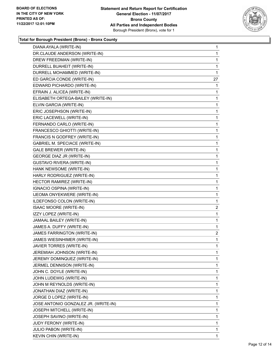

| DIANA AYALA (WRITE-IN)               | 1              |
|--------------------------------------|----------------|
| DR.CLAUDE ANDERSON (WRITE-IN)        | 1              |
| DREW FREEDMAN (WRITE-IN)             | 1              |
| DURRELL BUAHEIT (WRITE-IN)           | 1              |
| DURRELL MOHAMMED (WRITE-IN)          | 1              |
| ED GARCIA CONDE (WRITE-IN)           | 27             |
| EDWARD PICHARDO (WRITE-IN)           | 1              |
| EFRAIN J. ALICEA (WRITE-IN)          | 1              |
| ELISABETH ORTEGA-BAILEY (WRITE-IN)   | 1              |
| ELVIN GARCIA (WRITE-IN)              | 1              |
| ERIC JOSEPHSON (WRITE-IN)            | 1              |
| ERIC LACEWELL (WRITE-IN)             | 1              |
| FERNANDO CARLO (WRITE-IN)            | 1              |
| FRANCESCO GHIOTTI (WRITE-IN)         | 1              |
| FRANCIS N GODFREY (WRITE-IN)         | 1              |
| GABRIEL M. SPECIACE (WRITE-IN)       | 1              |
| <b>GALE BREWER (WRITE-IN)</b>        | 1              |
| GEORGE DIAZ JR (WRITE-IN)            | 1              |
| <b>GUSTAVO RIVERA (WRITE-IN)</b>     | 1              |
| HANK NEWSOME (WRITE-IN)              | 1              |
| HARLY RODRIGUEZ (WRITE-IN)           | 1              |
| HECTOR RAMIREZ (WRITE-IN)            | 1              |
| IGNACIO OSPINA (WRITE-IN)            | 1              |
| IJEOMA ONYEKWERE (WRITE-IN)          | 1              |
| ILDEFONSO COLON (WRITE-IN)           | 1              |
| ISAAC MOORE (WRITE-IN)               | $\overline{c}$ |
| IZZY LOPEZ (WRITE-IN)                | 1              |
| JAMAAL BAILEY (WRITE-IN)             | 1              |
| JAMES A. DUFFY (WRITE-IN)            | 1              |
| JAMES FARRINGTON (WRITE-IN)          | $\overline{2}$ |
| JAMES WIESINHIMER (WRITE-IN)         | 1              |
| JAVIER TORRES (WRITE-IN)             | 1              |
| JEREMIAH JOHNSON (WRITE-IN)          | 1              |
| JEREMY DOMINQUEZ (WRITE-IN)          | 1              |
| JERMEL DENNISON (WRITE-IN)           | 1              |
| JOHN C. DOYLE (WRITE-IN)             | 1              |
| JOHN LUDEWIG (WRITE-IN)              | 1              |
| JOHN M REYNOLDS (WRITE-IN)           | 1              |
| JONATHAN DIAZ (WRITE-IN)             | 1              |
| JORGE D LOPEZ (WRITE-IN)             | 1              |
| JOSE ANTONIO GONZALEZ JR. (WRITE-IN) | 1              |
| JOSEPH MITCHELL (WRITE-IN)           | 1              |
| JOSEPH SAVINO (WRITE-IN)             | 1              |
| JUDY FERONY (WRITE-IN)               | 1              |
| <b>JULIO PABON (WRITE-IN)</b>        | 1              |
| KEVIN CHIN (WRITE-IN)                | 1.             |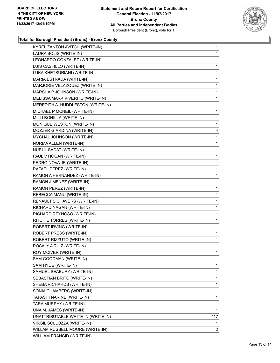

| KYREL ZANTON AVITCH (WRITE-IN)     | 1   |
|------------------------------------|-----|
| LAURA SOLIS (WRITE-IN)             | 1   |
| LEONARDO GONZALEZ (WRITE-IN)       | 1   |
| LUIS CASTILLO (WRITE-IN)           | 1   |
| LUKA KHETSURIANI (WRITE-IN)        | 1   |
| MARIA ESTRADA (WRITE-IN)           | 1   |
| MARJORIE VELAZQUEZ (WRITE-IN)      | 1   |
| MARSHA P JOHNSON (WRITE-IN)        | 1   |
| MELISSA MARK VIVERITO (WRITE-IN)   | 1   |
| MEREDITH A. HUDDLESTON (WRITE-IN)  | 1   |
| MICHAEL P MCNEIL (WRITE-IN)        | 1   |
| MILLI BONILLA (WRITE-IN)           | 1   |
| MONIQUE WESTON (WRITE-IN)          | 1   |
| MOZZER GIARDINA (WRITE-IN)         | 4   |
| MYCHAL JOHNSON (WRITE-IN)          | 1   |
| NORMA ALLEN (WRITE-IN)             | 1   |
| NURUL SADAT (WRITE-IN)             | 1   |
| PAUL V HOGAN (WRITE-IN)            | 1   |
| PEDRO NOVA JR (WRITE-IN)           | 1   |
| RAFAEL PEREZ (WRITE-IN)            | 1   |
| RAMON A HERNANDEZ (WRITE-IN)       | 1   |
| RAMON JIMENEZ (WRITE-IN)           | 1   |
| RAMON PEREZ (WRITE-IN)             | 1   |
| REBECCA MANU (WRITE-IN)            | 1   |
| RENAULT S CHAVERS (WRITE-IN)       | 1   |
| RICHARD NAGAN (WRITE-IN)           | 1   |
| RICHARD REYNOSO (WRITE-IN)         | 1   |
| RITCHIE TORRES (WRITE-IN)          | 1   |
| ROBERT IRVING (WRITE-IN)           | 1   |
| ROBERT PRESS (WRITE-IN)            | 1   |
| ROBERT RIZZUTO (WRITE-IN)          | 1   |
| ROSALY A RUIZ (WRITE-IN)           | 1   |
| ROY MCIVER (WRITE-IN)              | 1   |
| SAM GOODMAN (WRITE-IN)             | 1   |
| SAM HYDE (WRITE-IN)                | 1   |
| SAMUEL SEABURY (WRITE-IN)          | 1   |
| SEBASTIAN BRITO (WRITE-IN)         | 1   |
| SHEBA RICHARDS (WRITE-IN)          | 1   |
| SONIA CHAMBERS (WRITE-IN)          | 1   |
| TAPASHI NARINE (WRITE-IN)          | 1   |
| TARA MURPHY (WRITE-IN)             | 1   |
| UNA M. JAMES (WRITE-IN)            | 1   |
| UNATTRIBUTABLE WRITE-IN (WRITE-IN) | 117 |
| VIRGIL SOLLOZZA (WRITE-IN)         | 1   |
| WILLAM RUSSELL MOORE (WRITE-IN)    | 2   |
| WILLIAM FRANCID (WRITE-IN)         | 1   |
|                                    |     |